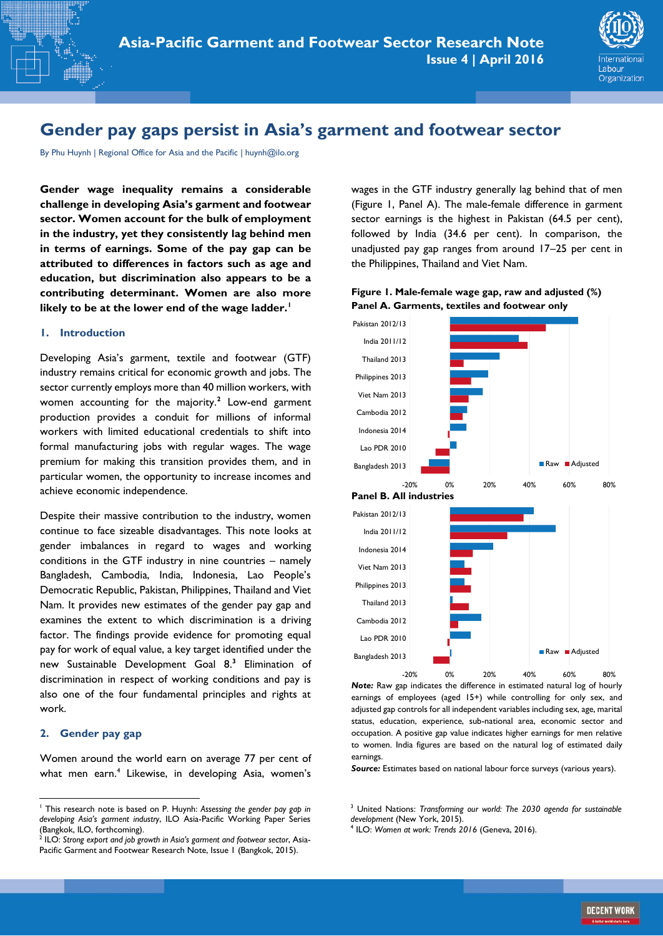

# **Gender pay gaps persist in Asia's garment and footwear sector**

By Phu Huynh | Regional Office for Asia and the Pacific | huynh@ilo.org

**Gender wage inequality remains a considerable challenge in developing Asia's garment and footwear sector. Women account for the bulk of employment in the industry, yet they consistently lag behind men in terms of earnings. Some of the pay gap can be attributed to differences in factors such as age and education, but discrimination also appears to be a contributing determinant. Women are also more likely to be at the lower end of the wage ladder.<sup>1</sup>**

## **1. Introduction**

Developing Asia's garment, textile and footwear (GTF) industry remains critical for economic growth and jobs. The sector currently employs more than 40 million workers, with women accounting for the majority.**<sup>2</sup>** Low-end garment production provides a conduit for millions of informal workers with limited educational credentials to shift into formal manufacturing jobs with regular wages. The wage premium for making this transition provides them, and in particular women, the opportunity to increase incomes and achieve economic independence.

Despite their massive contribution to the industry, women continue to face sizeable disadvantages. This note looks at gender imbalances in regard to wages and working conditions in the GTF industry in nine countries – namely Bangladesh, Cambodia, India, Indonesia, Lao People's Democratic Republic, Pakistan, Philippines, Thailand and Viet Nam. It provides new estimates of the gender pay gap and examines the extent to which discrimination is a driving factor. The findings provide evidence for promoting equal pay for work of equal value, a key target identified under the new Sustainable Development Goal 8. **3** Elimination of discrimination in respect of working conditions and pay is also one of the four fundamental principles and rights at work.

## **2. Gender pay gap**

 $\overline{\phantom{a}}$ 

Women around the world earn on average 77 per cent of what men earn.<sup>4</sup> Likewise, in developing Asia, women's wages in the GTF industry generally lag behind that of men (Figure 1, Panel A). The male-female difference in garment sector earnings is the highest in Pakistan (64.5 per cent), followed by India (34.6 per cent). In comparison, the unadjusted pay gap ranges from around 17–25 per cent in the Philippines, Thailand and Viet Nam.





*Note:* Raw gap indicates the difference in estimated natural log of hourly earnings of employees (aged 15+) while controlling for only sex, and adjusted gap controls for all independent variables including sex, age, marital status, education, experience, sub-national area, economic sector and occupation. A positive gap value indicates higher earnings for men relative to women. India figures are based on the natural log of estimated daily earnings.

*Source:* Estimates based on national labour force surveys (various years).

<sup>3</sup> United Nations: *Transforming our world: The 2030 agenda for sustainable development* (New York, 2015).

<sup>1</sup> This research note is based on P. Huynh: *Assessing the gender pay gap in developing Asia's garment industry*, ILO Asia-Pacific Working Paper Series (Bangkok, ILO, forthcoming).

<sup>2</sup> ILO: *Strong export and job growth in Asia's garment and footwear sector*, Asia-Pacific Garment and Footwear Research Note, Issue 1 (Bangkok, 2015).

<sup>4</sup> ILO: *Women at work: Trends 2016* (Geneva, 2016).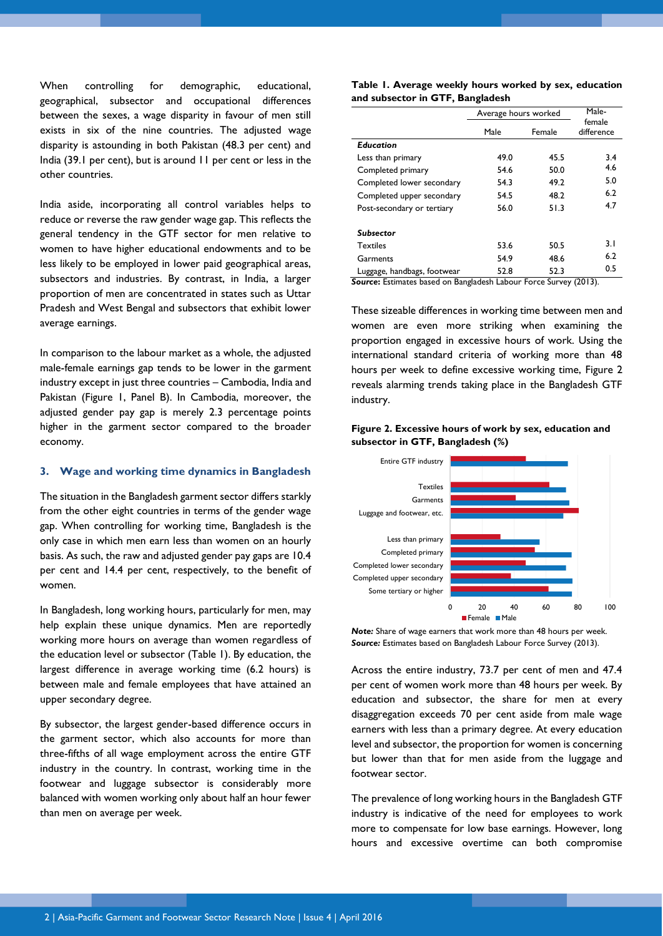When controlling for demographic, educational, geographical, subsector and occupational differences between the sexes, a wage disparity in favour of men still exists in six of the nine countries. The adjusted wage disparity is astounding in both Pakistan (48.3 per cent) and India (39.1 per cent), but is around 11 per cent or less in the other countries.

India aside, incorporating all control variables helps to reduce or reverse the raw gender wage gap. This reflects the general tendency in the GTF sector for men relative to women to have higher educational endowments and to be less likely to be employed in lower paid geographical areas, subsectors and industries. By contrast, in India, a larger proportion of men are concentrated in states such as Uttar Pradesh and West Bengal and subsectors that exhibit lower average earnings.

In comparison to the labour market as a whole, the adjusted male-female earnings gap tends to be lower in the garment industry except in just three countries – Cambodia, India and Pakistan (Figure 1, Panel B). In Cambodia, moreover, the adjusted gender pay gap is merely 2.3 percentage points higher in the garment sector compared to the broader economy.

# **3. Wage and working time dynamics in Bangladesh**

The situation in the Bangladesh garment sector differs starkly from the other eight countries in terms of the gender wage gap. When controlling for working time, Bangladesh is the only case in which men earn less than women on an hourly basis. As such, the raw and adjusted gender pay gaps are 10.4 per cent and 14.4 per cent, respectively, to the benefit of women.

In Bangladesh, long working hours, particularly for men, may help explain these unique dynamics. Men are reportedly working more hours on average than women regardless of the education level or subsector (Table 1). By education, the largest difference in average working time (6.2 hours) is between male and female employees that have attained an upper secondary degree.

By subsector, the largest gender-based difference occurs in the garment sector, which also accounts for more than three-fifths of all wage employment across the entire GTF industry in the country. In contrast, working time in the footwear and luggage subsector is considerably more balanced with women working only about half an hour fewer than men on average per week.

**Table 1. Average weekly hours worked by sex, education and subsector in GTF, Bangladesh** 

|                             | Average hours worked |        | Male-                |
|-----------------------------|----------------------|--------|----------------------|
|                             | Male                 | Female | female<br>difference |
| Education                   |                      |        |                      |
| Less than primary           | 49.0                 | 45.5   | 3.4                  |
| Completed primary           | 54.6                 | 50.0   | 4.6                  |
| Completed lower secondary   | 54.3                 | 49.2   | 5.0                  |
| Completed upper secondary   | 54.5                 | 48.2   | 6.2                  |
| Post-secondary or tertiary  | 56.0                 | 51.3   | 4.7                  |
| Subsector                   |                      |        |                      |
| <b>Textiles</b>             | 53.6                 | 50.5   | 3.1                  |
| Garments                    | 54.9                 | 48.6   | 6.2                  |
| Luggage, handbags, footwear | 52.8                 | 52.3   | 0.5                  |

**Source:** Estimates based on Bangladesh Labour Force Survey (2013).

These sizeable differences in working time between men and women are even more striking when examining the proportion engaged in excessive hours of work. Using the international standard criteria of working more than 48 hours per week to define excessive working time, Figure 2 reveals alarming trends taking place in the Bangladesh GTF industry.



### **Figure 2. Excessive hours of work by sex, education and subsector in GTF, Bangladesh (%)**

*Note:* Share of wage earners that work more than 48 hours per week. *Source:* Estimates based on Bangladesh Labour Force Survey (2013).

Across the entire industry, 73.7 per cent of men and 47.4 per cent of women work more than 48 hours per week. By education and subsector, the share for men at every disaggregation exceeds 70 per cent aside from male wage earners with less than a primary degree. At every education level and subsector, the proportion for women is concerning but lower than that for men aside from the luggage and footwear sector.

The prevalence of long working hours in the Bangladesh GTF industry is indicative of the need for employees to work more to compensate for low base earnings. However, long hours and excessive overtime can both compromise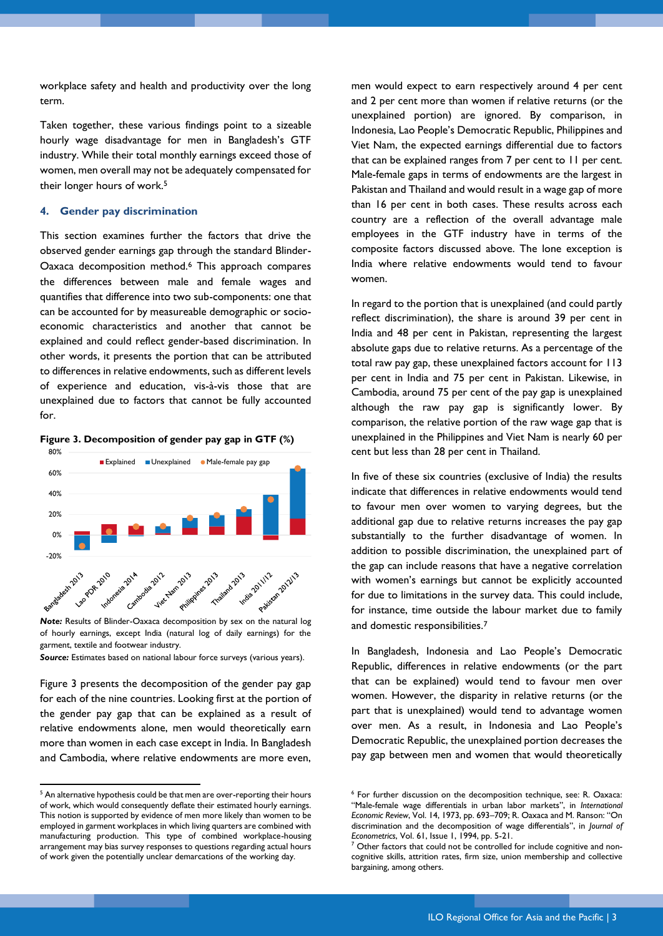workplace safety and health and productivity over the long term.

Taken together, these various findings point to a sizeable hourly wage disadvantage for men in Bangladesh's GTF industry. While their total monthly earnings exceed those of women, men overall may not be adequately compensated for their longer hours of work.<sup>5</sup>

## **4. Gender pay discrimination**

This section examines further the factors that drive the observed gender earnings gap through the standard Blinder-Oaxaca decomposition method.<sup>6</sup> This approach compares the differences between male and female wages and quantifies that difference into two sub-components: one that can be accounted for by measureable demographic or socioeconomic characteristics and another that cannot be explained and could reflect gender-based discrimination. In other words, it presents the portion that can be attributed to differences in relative endowments, such as different levels of experience and education, vis-à-vis those that are unexplained due to factors that cannot be fully accounted for.

**Figure 3. Decomposition of gender pay gap in GTF (%)**



of hourly earnings, except India (natural log of daily earnings) for the garment, textile and footwear industry.

*Source:* Estimates based on national labour force surveys (various years).

Figure 3 presents the decomposition of the gender pay gap for each of the nine countries. Looking first at the portion of the gender pay gap that can be explained as a result of relative endowments alone, men would theoretically earn more than women in each case except in India. In Bangladesh and Cambodia, where relative endowments are more even,

1

men would expect to earn respectively around 4 per cent and 2 per cent more than women if relative returns (or the unexplained portion) are ignored. By comparison, in Indonesia, Lao People's Democratic Republic, Philippines and Viet Nam, the expected earnings differential due to factors that can be explained ranges from 7 per cent to 11 per cent. Male-female gaps in terms of endowments are the largest in Pakistan and Thailand and would result in a wage gap of more than 16 per cent in both cases. These results across each country are a reflection of the overall advantage male employees in the GTF industry have in terms of the composite factors discussed above. The lone exception is India where relative endowments would tend to favour women.

In regard to the portion that is unexplained (and could partly reflect discrimination), the share is around 39 per cent in India and 48 per cent in Pakistan, representing the largest absolute gaps due to relative returns. As a percentage of the total raw pay gap, these unexplained factors account for 113 per cent in India and 75 per cent in Pakistan. Likewise, in Cambodia, around 75 per cent of the pay gap is unexplained although the raw pay gap is significantly lower. By comparison, the relative portion of the raw wage gap that is unexplained in the Philippines and Viet Nam is nearly 60 per cent but less than 28 per cent in Thailand.

In five of these six countries (exclusive of India) the results indicate that differences in relative endowments would tend to favour men over women to varying degrees, but the additional gap due to relative returns increases the pay gap substantially to the further disadvantage of women. In addition to possible discrimination, the unexplained part of the gap can include reasons that have a negative correlation with women's earnings but cannot be explicitly accounted for due to limitations in the survey data. This could include, for instance, time outside the labour market due to family and domestic responsibilities.<sup>7</sup>

In Bangladesh, Indonesia and Lao People's Democratic Republic, differences in relative endowments (or the part that can be explained) would tend to favour men over women. However, the disparity in relative returns (or the part that is unexplained) would tend to advantage women over men. As a result, in Indonesia and Lao People's Democratic Republic, the unexplained portion decreases the pay gap between men and women that would theoretically

<sup>&</sup>lt;sup>5</sup> An alternative hypothesis could be that men are over-reporting their hours of work, which would consequently deflate their estimated hourly earnings. This notion is supported by evidence of men more likely than women to be employed in garment workplaces in which living quarters are combined with manufacturing production. This type of combined workplace-housing arrangement may bias survey responses to questions regarding actual hours of work given the potentially unclear demarcations of the working day.

<sup>6</sup> For further discussion on the decomposition technique, see: R. Oaxaca: "Male-female wage differentials in urban labor markets", in *International Economic Review*, Vol. 14, 1973, pp. 693–709; R. Oaxaca and M. Ranson: "On discrimination and the decomposition of wage differentials", in *Journal of Econometrics*, Vol. 61, Issue 1, 1994, pp. 5-21.

<sup>&</sup>lt;sup>7</sup> Other factors that could not be controlled for include cognitive and noncognitive skills, attrition rates, firm size, union membership and collective bargaining, among others.